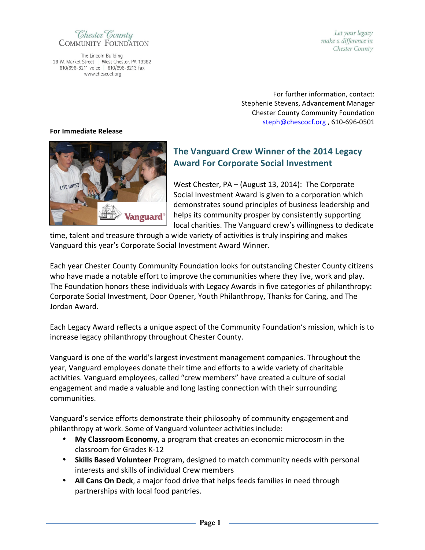Chester County **COMMUNITY FOUNDATION** 

The Lincoln Building 28 W. Market Street | West Chester, PA 19382 610/696-8211 voice | 610/696-8213 fax www.chescocf.org

Let your legacy make a difference in Chester County

For further information, contact: Stephenie Stevens, Advancement Manager Chester County Community Foundation steph@chescocf.org, 610-696-0501

## **For Immediate Release**



## **The Vanguard Crew Winner of the 2014 Legacy Award For Corporate Social Investment**

West Chester,  $PA - (August 13, 2014)$ : The Corporate Social Investment Award is given to a corporation which demonstrates sound principles of business leadership and helps its community prosper by consistently supporting local charities. The Vanguard crew's willingness to dedicate

time, talent and treasure through a wide variety of activities is truly inspiring and makes Vanguard this year's Corporate Social Investment Award Winner.

Each year Chester County Community Foundation looks for outstanding Chester County citizens who have made a notable effort to improve the communities where they live, work and play. The Foundation honors these individuals with Legacy Awards in five categories of philanthropy: Corporate Social Investment, Door Opener, Youth Philanthropy, Thanks for Caring, and The Jordan Award.

Each Legacy Award reflects a unique aspect of the Community Foundation's mission, which is to increase legacy philanthropy throughout Chester County.

Vanguard is one of the world's largest investment management companies. Throughout the year, Vanguard employees donate their time and efforts to a wide variety of charitable activities. Vanguard employees, called "crew members" have created a culture of social engagement and made a valuable and long lasting connection with their surrounding communities.

Vanguard's service efforts demonstrate their philosophy of community engagement and philanthropy at work. Some of Vanguard volunteer activities include:

- My Classroom Economy, a program that creates an economic microcosm in the classroom for Grades K-12
- Skills Based Volunteer Program, designed to match community needs with personal interests and skills of individual Crew members
- All Cans On Deck, a major food drive that helps feeds families in need through partnerships with local food pantries.